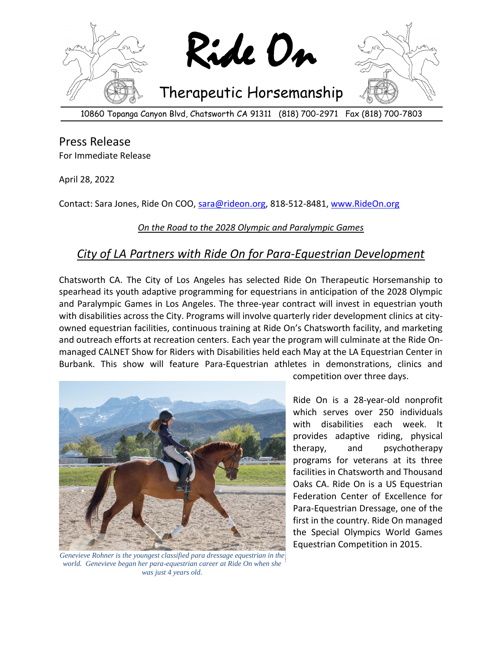

Press Release For Immediate Release

April 28, 2022

Contact: Sara Jones, Ride On COO, [sara@rideon.org,](mailto:sara@rideon.org) 818-512-8481[, www.RideOn.org](http://www.rideon.org/)

## *On the Road to the 2028 Olympic and Paralympic Games*

## *City of LA Partners with Ride On for Para-Equestrian Development*

Chatsworth CA. The City of Los Angeles has selected Ride On Therapeutic Horsemanship to spearhead its youth adaptive programming for equestrians in anticipation of the 2028 Olympic and Paralympic Games in Los Angeles. The three-year contract will invest in equestrian youth with disabilities across the City. Programs will involve quarterly rider development clinics at cityowned equestrian facilities, continuous training at Ride On's Chatsworth facility, and marketing and outreach efforts at recreation centers. Each year the program will culminate at the Ride Onmanaged CALNET Show for Riders with Disabilities held each May at the LA Equestrian Center in Burbank. This show will feature Para-Equestrian athletes in demonstrations, clinics and



*Genevieve Rohner is the youngest classified para dressage equestrian in the world. Genevieve began her para-equestrian career at Ride On when she was just 4 years old.*

competition over three days.

Ride On is a 28-year-old nonprofit which serves over 250 individuals with disabilities each week. It provides adaptive riding, physical therapy, and psychotherapy programs for veterans at its three facilities in Chatsworth and Thousand Oaks CA. Ride On is a US Equestrian Federation Center of Excellence for Para-Equestrian Dressage, one of the first in the country. Ride On managed the Special Olympics World Games Equestrian Competition in 2015.